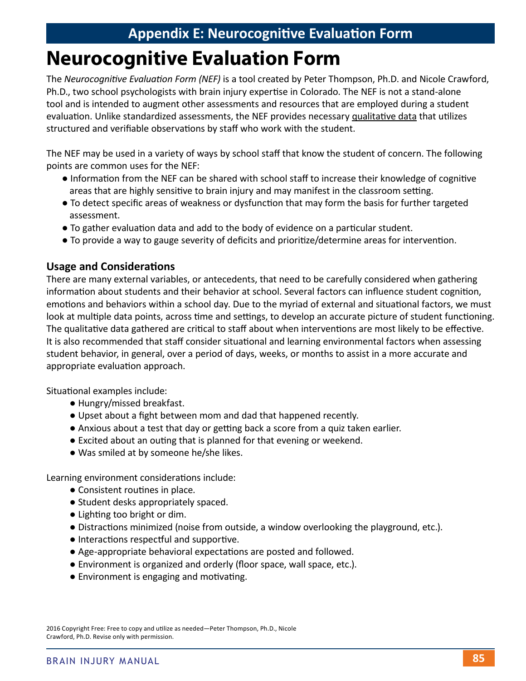# **Neurocognitive Evaluation Form**

The *Neurocognitive Evaluation Form (NEF)* is a tool created by Peter Thompson, Ph.D. and Nicole Crawford, Ph.D., two school psychologists with brain injury expertise in Colorado. The NEF is not a stand-alone tool and is intended to augment other assessments and resources that are employed during a student evaluation. Unlike standardized assessments, the NEF provides necessary qualitative data that utilizes structured and verifiable observations by staff who work with the student.

The NEF may be used in a variety of ways by school staff that know the student of concern. The following points are common uses for the NEF:

- Information from the NEF can be shared with school staff to increase their knowledge of cognitive areas that are highly sensitive to brain injury and may manifest in the classroom setting.
- To detect specific areas of weakness or dysfunction that may form the basis for further targeted assessment.
- To gather evaluation data and add to the body of evidence on a particular student.
- To provide a way to gauge severity of deficits and prioritize/determine areas for intervention.

#### **Usage and Considerations**

There are many external variables, or antecedents, that need to be carefully considered when gathering information about students and their behavior at school. Several factors can influence student cognition, emotions and behaviors within a school day. Due to the myriad of external and situational factors, we must look at multiple data points, across time and settings, to develop an accurate picture of student functioning. The qualitative data gathered are critical to staff about when interventions are most likely to be effective. It is also recommended that staff consider situational and learning environmental factors when assessing student behavior, in general, over a period of days, weeks, or months to assist in a more accurate and appropriate evaluation approach.

Situational examples include:

- Hungry/missed breakfast.
- Upset about a fight between mom and dad that happened recently.
- Anxious about a test that day or getting back a score from a quiz taken earlier.
- Excited about an outing that is planned for that evening or weekend.
- Was smiled at by someone he/she likes.

Learning environment considerations include:

- Consistent routines in place.
- Student desks appropriately spaced.
- Lighting too bright or dim.
- Distractions minimized (noise from outside, a window overlooking the playground, etc.).
- Interactions respectful and supportive.
- Age-appropriate behavioral expectations are posted and followed.
- Environment is organized and orderly (floor space, wall space, etc.).
- Environment is engaging and motivating.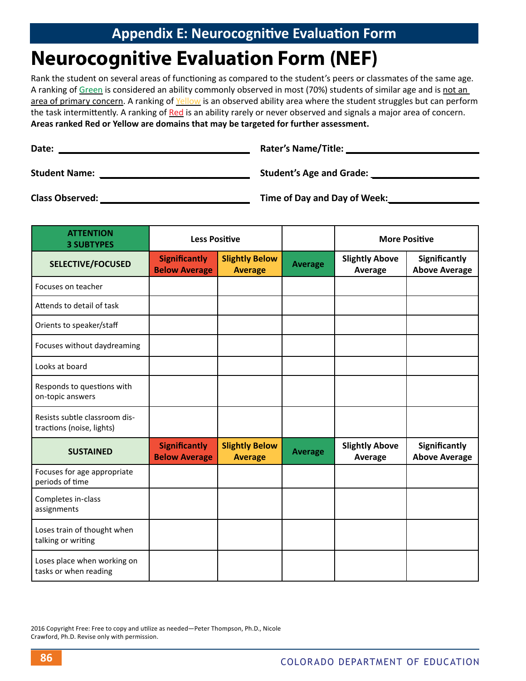# **Neurocognitive Evaluation Form (NEF)**

Rank the student on several areas of functioning as compared to the student's peers or classmates of the same age. A ranking of Green is considered an ability commonly observed in most (70%) students of similar age and is not an area of primary concern. A ranking of Yellow is an observed ability area where the student struggles but can perform the task intermittently. A ranking of Red is an ability rarely or never observed and signals a major area of concern. **Areas ranked Red or Yellow are domains that may be targeted for further assessment.**

| Date:                | <b>Rater's Name/Title:</b>      |  |  |
|----------------------|---------------------------------|--|--|
| <b>Student Name:</b> | <b>Student's Age and Grade:</b> |  |  |
| Class Observed:      | Time of Day and Day of Week:    |  |  |

| <b>ATTENTION</b><br><b>3 SUBTYPES</b>                      | <b>Less Positive</b>                         |                                         |                | <b>More Positive</b>             |                                              |
|------------------------------------------------------------|----------------------------------------------|-----------------------------------------|----------------|----------------------------------|----------------------------------------------|
| <b>SELECTIVE/FOCUSED</b>                                   | <b>Significantly</b><br><b>Below Average</b> | <b>Slightly Below</b><br><b>Average</b> | <b>Average</b> | <b>Slightly Above</b><br>Average | <b>Significantly</b><br><b>Above Average</b> |
| Focuses on teacher                                         |                                              |                                         |                |                                  |                                              |
| Attends to detail of task                                  |                                              |                                         |                |                                  |                                              |
| Orients to speaker/staff                                   |                                              |                                         |                |                                  |                                              |
| Focuses without daydreaming                                |                                              |                                         |                |                                  |                                              |
| Looks at board                                             |                                              |                                         |                |                                  |                                              |
| Responds to questions with<br>on-topic answers             |                                              |                                         |                |                                  |                                              |
| Resists subtle classroom dis-<br>tractions (noise, lights) |                                              |                                         |                |                                  |                                              |
| <b>SUSTAINED</b>                                           | <b>Significantly</b><br><b>Below Average</b> | <b>Slightly Below</b><br><b>Average</b> | <b>Average</b> | <b>Slightly Above</b><br>Average | <b>Significantly</b><br><b>Above Average</b> |
| Focuses for age appropriate<br>periods of time             |                                              |                                         |                |                                  |                                              |
| Completes in-class<br>assignments                          |                                              |                                         |                |                                  |                                              |
| Loses train of thought when<br>talking or writing          |                                              |                                         |                |                                  |                                              |
| Loses place when working on<br>tasks or when reading       |                                              |                                         |                |                                  |                                              |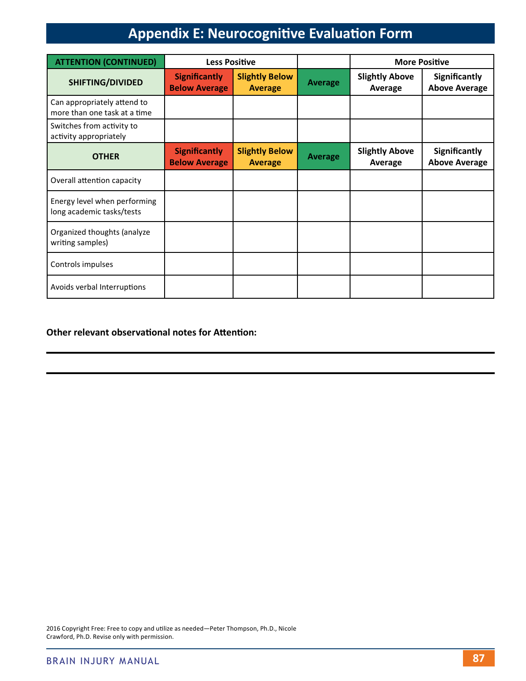| <b>ATTENTION (CONTINUED)</b>                                | <b>Less Positive</b>                         |                                         |                |                                  | <b>More Positive</b>                         |
|-------------------------------------------------------------|----------------------------------------------|-----------------------------------------|----------------|----------------------------------|----------------------------------------------|
| <b>SHIFTING/DIVIDED</b>                                     | <b>Significantly</b><br><b>Below Average</b> | <b>Slightly Below</b><br><b>Average</b> | <b>Average</b> | <b>Slightly Above</b><br>Average | <b>Significantly</b><br><b>Above Average</b> |
| Can appropriately attend to<br>more than one task at a time |                                              |                                         |                |                                  |                                              |
| Switches from activity to<br>activity appropriately         |                                              |                                         |                |                                  |                                              |
| <b>OTHER</b>                                                | <b>Significantly</b><br><b>Below Average</b> | <b>Slightly Below</b><br><b>Average</b> | <b>Average</b> | <b>Slightly Above</b><br>Average | <b>Significantly</b><br><b>Above Average</b> |
| Overall attention capacity                                  |                                              |                                         |                |                                  |                                              |
| Energy level when performing<br>long academic tasks/tests   |                                              |                                         |                |                                  |                                              |
| Organized thoughts (analyze<br>writing samples)             |                                              |                                         |                |                                  |                                              |
| Controls impulses                                           |                                              |                                         |                |                                  |                                              |
| Avoids verbal Interruptions                                 |                                              |                                         |                |                                  |                                              |

#### **Other relevant observational notes for Attention:**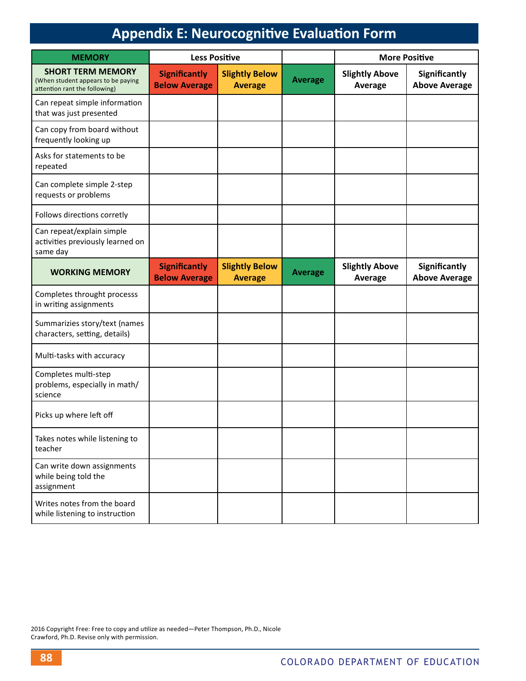| <b>MEMORY</b>                                                                                   | <b>Less Positive</b>                         |                                         |                | <b>More Positive</b>             |                                       |
|-------------------------------------------------------------------------------------------------|----------------------------------------------|-----------------------------------------|----------------|----------------------------------|---------------------------------------|
| <b>SHORT TERM MEMORY</b><br>(When student appears to be paying<br>attention rant the following) | <b>Significantly</b><br><b>Below Average</b> | <b>Slightly Below</b><br><b>Average</b> | <b>Average</b> | <b>Slightly Above</b><br>Average | Significantly<br><b>Above Average</b> |
| Can repeat simple information<br>that was just presented                                        |                                              |                                         |                |                                  |                                       |
| Can copy from board without<br>frequently looking up                                            |                                              |                                         |                |                                  |                                       |
| Asks for statements to be<br>repeated                                                           |                                              |                                         |                |                                  |                                       |
| Can complete simple 2-step<br>requests or problems                                              |                                              |                                         |                |                                  |                                       |
| Follows directions corretly                                                                     |                                              |                                         |                |                                  |                                       |
| Can repeat/explain simple<br>activities previously learned on<br>same day                       |                                              |                                         |                |                                  |                                       |
| <b>WORKING MEMORY</b>                                                                           | <b>Significantly</b><br><b>Below Average</b> | <b>Slightly Below</b><br><b>Average</b> | <b>Average</b> | <b>Slightly Above</b><br>Average | Significantly<br><b>Above Average</b> |
| Completes throught processs<br>in writing assignments                                           |                                              |                                         |                |                                  |                                       |
| Summarizies story/text (names<br>characters, setting, details)                                  |                                              |                                         |                |                                  |                                       |
| Multi-tasks with accuracy                                                                       |                                              |                                         |                |                                  |                                       |
| Completes multi-step<br>problems, especially in math/<br>science                                |                                              |                                         |                |                                  |                                       |
| Picks up where left off                                                                         |                                              |                                         |                |                                  |                                       |
| Takes notes while listening to<br>teacher                                                       |                                              |                                         |                |                                  |                                       |
| Can write down assignments<br>while being told the<br>assignment                                |                                              |                                         |                |                                  |                                       |
| Writes notes from the board<br>while listening to instruction                                   |                                              |                                         |                |                                  |                                       |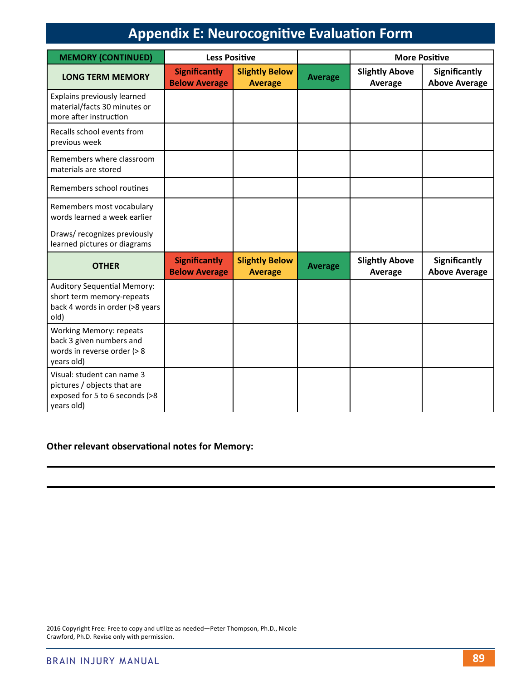| <b>MEMORY (CONTINUED)</b>                                                                                  | <b>Less Positive</b>                         |                                         |                | <b>More Positive</b>             |                                              |
|------------------------------------------------------------------------------------------------------------|----------------------------------------------|-----------------------------------------|----------------|----------------------------------|----------------------------------------------|
| <b>LONG TERM MEMORY</b>                                                                                    | <b>Significantly</b><br><b>Below Average</b> | <b>Slightly Below</b><br><b>Average</b> | <b>Average</b> | <b>Slightly Above</b><br>Average | <b>Significantly</b><br><b>Above Average</b> |
| Explains previously learned<br>material/facts 30 minutes or<br>more after instruction                      |                                              |                                         |                |                                  |                                              |
| Recalls school events from<br>previous week                                                                |                                              |                                         |                |                                  |                                              |
| Remembers where classroom<br>materials are stored                                                          |                                              |                                         |                |                                  |                                              |
| Remembers school routines                                                                                  |                                              |                                         |                |                                  |                                              |
| Remembers most vocabulary<br>words learned a week earlier                                                  |                                              |                                         |                |                                  |                                              |
| Draws/ recognizes previously<br>learned pictures or diagrams                                               |                                              |                                         |                |                                  |                                              |
| <b>OTHER</b>                                                                                               | <b>Significantly</b><br><b>Below Average</b> | <b>Slightly Below</b><br><b>Average</b> | <b>Average</b> | <b>Slightly Above</b><br>Average | <b>Significantly</b><br><b>Above Average</b> |
| <b>Auditory Sequential Memory:</b><br>short term memory-repeats<br>back 4 words in order (>8 years<br>old) |                                              |                                         |                |                                  |                                              |
| <b>Working Memory: repeats</b><br>back 3 given numbers and<br>words in reverse order (> 8<br>years old)    |                                              |                                         |                |                                  |                                              |
| Visual: student can name 3<br>pictures / objects that are<br>exposed for 5 to 6 seconds (>8<br>years old)  |                                              |                                         |                |                                  |                                              |

#### **Other relevant observational notes for Memory:**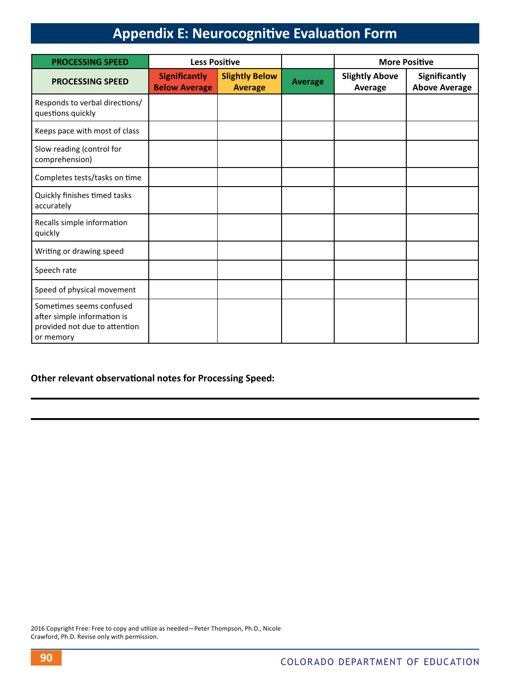| <b>PROCESSING SPEED</b>                                                                               | <b>Less Positive</b>                         |                                         |                | <b>More Positive</b>             |                                       |
|-------------------------------------------------------------------------------------------------------|----------------------------------------------|-----------------------------------------|----------------|----------------------------------|---------------------------------------|
| <b>PROCESSING SPEED</b>                                                                               | <b>Significantly</b><br><b>Below Average</b> | <b>Slightly Below</b><br><b>Average</b> | <b>Average</b> | <b>Slightly Above</b><br>Average | Significantly<br><b>Above Average</b> |
| Responds to verbal directions/<br>questions quickly                                                   |                                              |                                         |                |                                  |                                       |
| Keeps pace with most of class                                                                         |                                              |                                         |                |                                  |                                       |
| Slow reading (control for<br>comprehension)                                                           |                                              |                                         |                |                                  |                                       |
| Completes tests/tasks on time                                                                         |                                              |                                         |                |                                  |                                       |
| Quickly finishes timed tasks<br>accurately                                                            |                                              |                                         |                |                                  |                                       |
| Recalls simple information<br>quickly                                                                 |                                              |                                         |                |                                  |                                       |
| Writing or drawing speed                                                                              |                                              |                                         |                |                                  |                                       |
| Speech rate                                                                                           |                                              |                                         |                |                                  |                                       |
| Speed of physical movement                                                                            |                                              |                                         |                |                                  |                                       |
| Sometimes seems confused<br>after simple information is<br>provided not due to attention<br>or memory |                                              |                                         |                |                                  |                                       |

#### **Other relevant observational notes for Processing Speed:**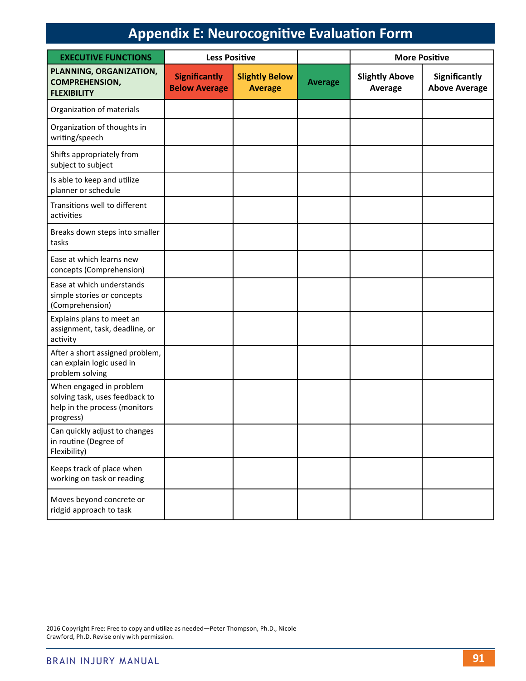| <b>EXECUTIVE FUNCTIONS</b>                                                                              | <b>Less Positive</b>                         |                                         |                | <b>More Positive</b>             |                                       |
|---------------------------------------------------------------------------------------------------------|----------------------------------------------|-----------------------------------------|----------------|----------------------------------|---------------------------------------|
| PLANNING, ORGANIZATION,<br><b>COMPREHENSION,</b><br><b>FLEXIBILITY</b>                                  | <b>Significantly</b><br><b>Below Average</b> | <b>Slightly Below</b><br><b>Average</b> | <b>Average</b> | <b>Slightly Above</b><br>Average | Significantly<br><b>Above Average</b> |
| Organization of materials                                                                               |                                              |                                         |                |                                  |                                       |
| Organization of thoughts in<br>writing/speech                                                           |                                              |                                         |                |                                  |                                       |
| Shifts appropriately from<br>subject to subject                                                         |                                              |                                         |                |                                  |                                       |
| Is able to keep and utilize<br>planner or schedule                                                      |                                              |                                         |                |                                  |                                       |
| Transitions well to different<br>activities                                                             |                                              |                                         |                |                                  |                                       |
| Breaks down steps into smaller<br>tasks                                                                 |                                              |                                         |                |                                  |                                       |
| Ease at which learns new<br>concepts (Comprehension)                                                    |                                              |                                         |                |                                  |                                       |
| Ease at which understands<br>simple stories or concepts<br>(Comprehension)                              |                                              |                                         |                |                                  |                                       |
| Explains plans to meet an<br>assignment, task, deadline, or<br>activity                                 |                                              |                                         |                |                                  |                                       |
| After a short assigned problem,<br>can explain logic used in<br>problem solving                         |                                              |                                         |                |                                  |                                       |
| When engaged in problem<br>solving task, uses feedback to<br>help in the process (monitors<br>progress) |                                              |                                         |                |                                  |                                       |
| Can quickly adjust to changes<br>in routine (Degree of<br>Flexibility)                                  |                                              |                                         |                |                                  |                                       |
| Keeps track of place when<br>working on task or reading                                                 |                                              |                                         |                |                                  |                                       |
| Moves beyond concrete or<br>ridgid approach to task                                                     |                                              |                                         |                |                                  |                                       |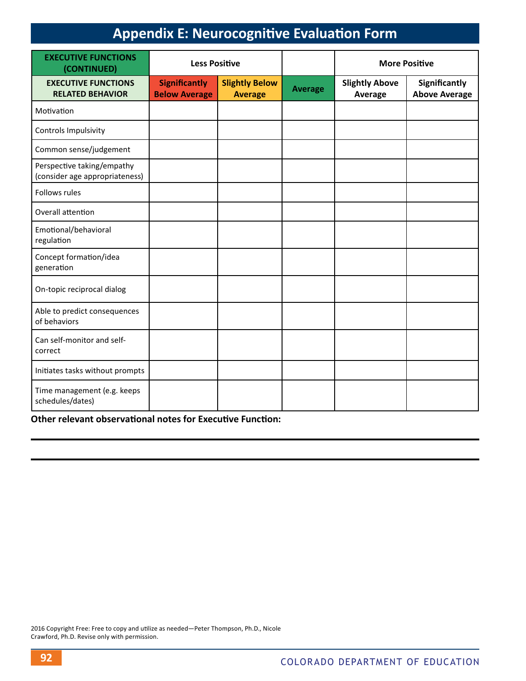| <b>EXECUTIVE FUNCTIONS</b><br>(CONTINUED)                    | <b>Less Positive</b>                         |                                         |                | <b>More Positive</b>             |                                       |
|--------------------------------------------------------------|----------------------------------------------|-----------------------------------------|----------------|----------------------------------|---------------------------------------|
| <b>EXECUTIVE FUNCTIONS</b><br><b>RELATED BEHAVIOR</b>        | <b>Significantly</b><br><b>Below Average</b> | <b>Slightly Below</b><br><b>Average</b> | <b>Average</b> | <b>Slightly Above</b><br>Average | Significantly<br><b>Above Average</b> |
| Motivation                                                   |                                              |                                         |                |                                  |                                       |
| Controls Impulsivity                                         |                                              |                                         |                |                                  |                                       |
| Common sense/judgement                                       |                                              |                                         |                |                                  |                                       |
| Perspective taking/empathy<br>(consider age appropriateness) |                                              |                                         |                |                                  |                                       |
| Follows rules                                                |                                              |                                         |                |                                  |                                       |
| Overall attention                                            |                                              |                                         |                |                                  |                                       |
| Emotional/behavioral<br>regulation                           |                                              |                                         |                |                                  |                                       |
| Concept formation/idea<br>generation                         |                                              |                                         |                |                                  |                                       |
| On-topic reciprocal dialog                                   |                                              |                                         |                |                                  |                                       |
| Able to predict consequences<br>of behaviors                 |                                              |                                         |                |                                  |                                       |
| Can self-monitor and self-<br>correct                        |                                              |                                         |                |                                  |                                       |
| Initiates tasks without prompts                              |                                              |                                         |                |                                  |                                       |
| Time management (e.g. keeps<br>schedules/dates)              |                                              |                                         |                |                                  |                                       |

**Other relevant observational notes for Executive Function:**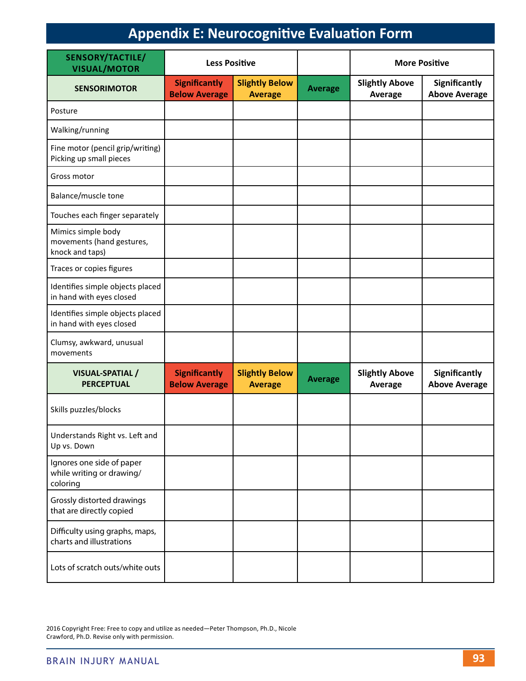| <b>SENSORY/TACTILE/</b><br><b>VISUAL/MOTOR</b>                     | <b>Less Positive</b>                         |                                         |                | <b>More Positive</b>             |                                              |
|--------------------------------------------------------------------|----------------------------------------------|-----------------------------------------|----------------|----------------------------------|----------------------------------------------|
| <b>SENSORIMOTOR</b>                                                | <b>Significantly</b><br><b>Below Average</b> | <b>Slightly Below</b><br><b>Average</b> | <b>Average</b> | <b>Slightly Above</b><br>Average | <b>Significantly</b><br><b>Above Average</b> |
| Posture                                                            |                                              |                                         |                |                                  |                                              |
| Walking/running                                                    |                                              |                                         |                |                                  |                                              |
| Fine motor (pencil grip/writing)<br>Picking up small pieces        |                                              |                                         |                |                                  |                                              |
| Gross motor                                                        |                                              |                                         |                |                                  |                                              |
| Balance/muscle tone                                                |                                              |                                         |                |                                  |                                              |
| Touches each finger separately                                     |                                              |                                         |                |                                  |                                              |
| Mimics simple body<br>movements (hand gestures,<br>knock and taps) |                                              |                                         |                |                                  |                                              |
| Traces or copies figures                                           |                                              |                                         |                |                                  |                                              |
| Identifies simple objects placed<br>in hand with eyes closed       |                                              |                                         |                |                                  |                                              |
| Identifies simple objects placed<br>in hand with eyes closed       |                                              |                                         |                |                                  |                                              |
| Clumsy, awkward, unusual<br>movements                              |                                              |                                         |                |                                  |                                              |
| VISUAL-SPATIAL /<br><b>PERCEPTUAL</b>                              | <b>Significantly</b><br><b>Below Average</b> | <b>Slightly Below</b><br><b>Average</b> | <b>Average</b> | <b>Slightly Above</b><br>Average | <b>Significantly</b><br><b>Above Average</b> |
| Skills puzzles/blocks                                              |                                              |                                         |                |                                  |                                              |
| Understands Right vs. Left and<br>Up vs. Down                      |                                              |                                         |                |                                  |                                              |
| Ignores one side of paper<br>while writing or drawing/<br>coloring |                                              |                                         |                |                                  |                                              |
| Grossly distorted drawings<br>that are directly copied             |                                              |                                         |                |                                  |                                              |
| Difficulty using graphs, maps,<br>charts and illustrations         |                                              |                                         |                |                                  |                                              |
| Lots of scratch outs/white outs                                    |                                              |                                         |                |                                  |                                              |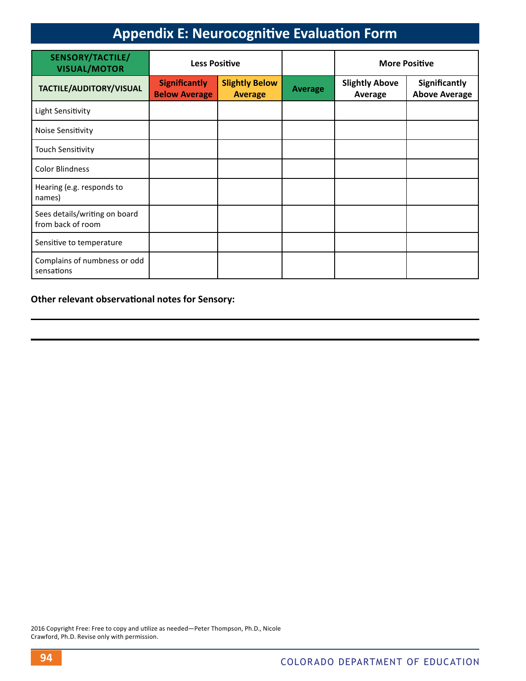| SENSORY/TACTILE/<br><b>VISUAL/MOTOR</b>            | <b>Less Positive</b>                         |                                         |                | <b>More Positive</b>             |                                       |
|----------------------------------------------------|----------------------------------------------|-----------------------------------------|----------------|----------------------------------|---------------------------------------|
| TACTILE/AUDITORY/VISUAL                            | <b>Significantly</b><br><b>Below Average</b> | <b>Slightly Below</b><br><b>Average</b> | <b>Average</b> | <b>Slightly Above</b><br>Average | Significantly<br><b>Above Average</b> |
| Light Sensitivity                                  |                                              |                                         |                |                                  |                                       |
| Noise Sensitivity                                  |                                              |                                         |                |                                  |                                       |
| <b>Touch Sensitivity</b>                           |                                              |                                         |                |                                  |                                       |
| <b>Color Blindness</b>                             |                                              |                                         |                |                                  |                                       |
| Hearing (e.g. responds to<br>names)                |                                              |                                         |                |                                  |                                       |
| Sees details/writing on board<br>from back of room |                                              |                                         |                |                                  |                                       |
| Sensitive to temperature                           |                                              |                                         |                |                                  |                                       |
| Complains of numbness or odd<br>sensations         |                                              |                                         |                |                                  |                                       |

**Other relevant observational notes for Sensory:**